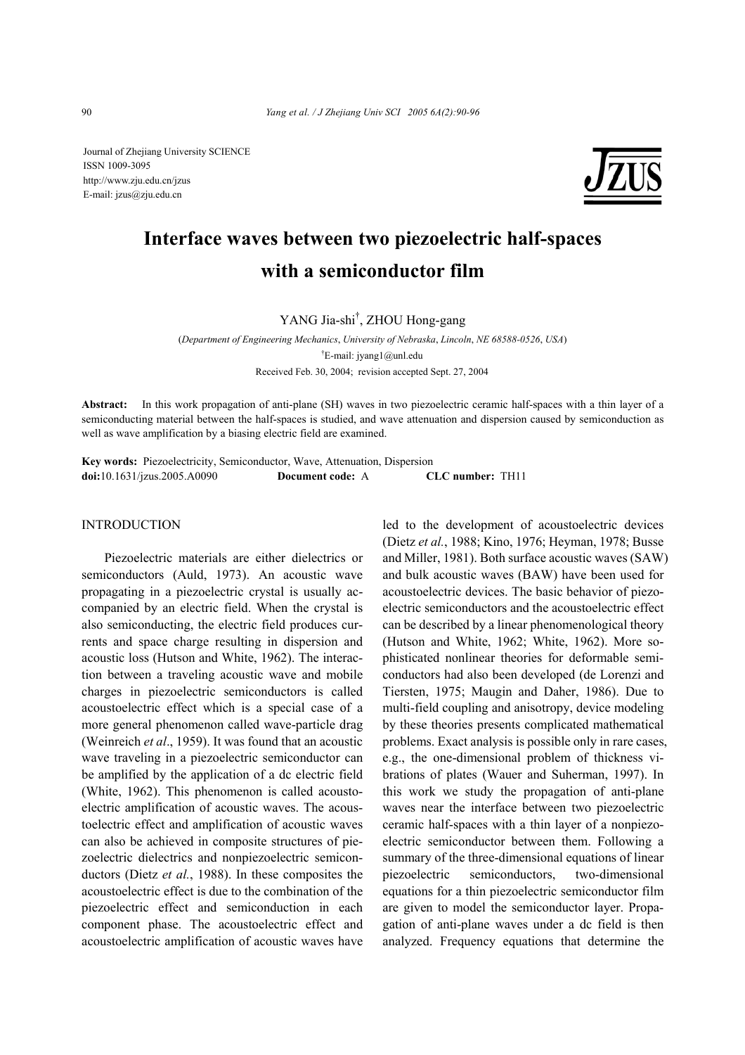Journal of Zhejiang University SCIENCE ISSN 1009-3095 http://www.zju.edu.cn/jzus E-mail: jzus@zju.edu.cn



# **Interface waves between two piezoelectric half-spaces with a semiconductor film**

YANG Jia-shi† , ZHOU Hong-gang

(*Department of Engineering Mechanics*, *University of Nebraska*, *Lincoln*, *NE 68588-0526*, *USA*) † E-mail: jyang1@unl.edu Received Feb. 30, 2004; revision accepted Sept. 27, 2004

**Abstract:** In this work propagation of anti-plane (SH) waves in two piezoelectric ceramic half-spaces with a thin layer of a semiconducting material between the half-spaces is studied, and wave attenuation and dispersion caused by semiconduction as well as wave amplification by a biasing electric field are examined.

**Key words:** Piezoelectricity, Semiconductor, Wave, Attenuation, Dispersion **doi:**10.1631/jzus.2005.A0090 **Document code:** A **CLC number:** TH11

#### **INTRODUCTION**

Piezoelectric materials are either dielectrics or semiconductors (Auld, 1973). An acoustic wave propagating in a piezoelectric crystal is usually accompanied by an electric field. When the crystal is also semiconducting, the electric field produces currents and space charge resulting in dispersion and acoustic loss (Hutson and White, 1962). The interaction between a traveling acoustic wave and mobile charges in piezoelectric semiconductors is called acoustoelectric effect which is a special case of a more general phenomenon called wave-particle drag (Weinreich *et al*., 1959). It was found that an acoustic wave traveling in a piezoelectric semiconductor can be amplified by the application of a dc electric field (White, 1962). This phenomenon is called acoustoelectric amplification of acoustic waves. The acoustoelectric effect and amplification of acoustic waves can also be achieved in composite structures of piezoelectric dielectrics and nonpiezoelectric semiconductors (Dietz *et al.*, 1988). In these composites the acoustoelectric effect is due to the combination of the piezoelectric effect and semiconduction in each component phase. The acoustoelectric effect and acoustoelectric amplification of acoustic waves have led to the development of acoustoelectric devices (Dietz *et al.*, 1988; Kino, 1976; Heyman, 1978; Busse and Miller, 1981). Both surface acoustic waves (SAW) and bulk acoustic waves (BAW) have been used for acoustoelectric devices. The basic behavior of piezoelectric semiconductors and the acoustoelectric effect can be described by a linear phenomenological theory (Hutson and White, 1962; White, 1962). More sophisticated nonlinear theories for deformable semiconductors had also been developed (de Lorenzi and Tiersten, 1975; Maugin and Daher, 1986). Due to multi-field coupling and anisotropy, device modeling by these theories presents complicated mathematical problems. Exact analysis is possible only in rare cases, e.g., the one-dimensional problem of thickness vibrations of plates (Wauer and Suherman, 1997). In this work we study the propagation of anti-plane waves near the interface between two piezoelectric ceramic half-spaces with a thin layer of a nonpiezoelectric semiconductor between them. Following a summary of the three-dimensional equations of linear piezoelectric semiconductors, two-dimensional equations for a thin piezoelectric semiconductor film are given to model the semiconductor layer. Propagation of anti-plane waves under a dc field is then analyzed. Frequency equations that determine the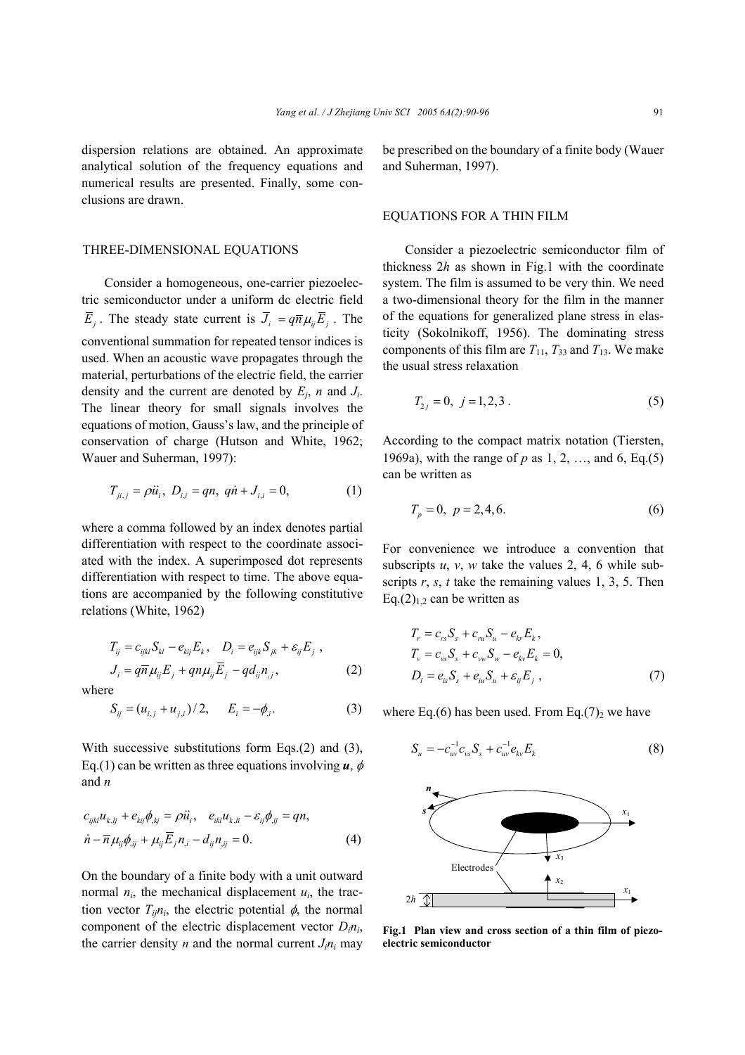dispersion relations are obtained. An approximate analytical solution of the frequency equations and numerical results are presented. Finally, some conclusions are drawn.

#### THREE-DIMENSIONAL EQUATIONS

Consider a homogeneous, one-carrier piezoelectric semiconductor under a uniform dc electric field  $\overline{E}_i$ . The steady state current is  $\overline{J}_i = q \overline{n} \mu_i \overline{E}_i$ . The conventional summation for repeated tensor indices is used. When an acoustic wave propagates through the material, perturbations of the electric field, the carrier density and the current are denoted by *Ej*, *n* and *Ji*. The linear theory for small signals involves the equations of motion, Gauss's law, and the principle of conservation of charge (Hutson and White, 1962; Wauer and Suherman, 1997):

$$
T_{ji,j} = \rho \ddot{u}_i, \ D_{i,i} = qn, \ q\dot{n} + J_{i,i} = 0,
$$
 (1)

where a comma followed by an index denotes partial differentiation with respect to the coordinate associated with the index. A superimposed dot represents differentiation with respect to time. The above equations are accompanied by the following constitutive relations (White, 1962)

$$
T_{ij} = c_{ijkl} S_{kl} - e_{kij} E_k, \quad D_i = e_{ijk} S_{jk} + \varepsilon_{ij} E_j ,
$$
  

$$
J_i = q \overline{n} \mu_{ij} E_j + q n \mu_{ij} \overline{E}_j - q d_{ij} n_{,j},
$$
 (2)

where

$$
S_{ij} = (u_{i,j} + u_{j,i})/2, \qquad E_i = -\phi_{i}.
$$
 (3)

With successive substitutions form Eqs.(2) and (3), Eq.(1) can be written as three equations involving  $\boldsymbol{u}$ ,  $\phi$ and *n* 

$$
c_{ijkl}u_{k,ij} + e_{kij}\phi_{,kj} = \rho \ddot{u}_i, \quad e_{ikl}u_{k,li} - \varepsilon_{ij}\phi_{,ij} = qn, \n\dot{n} - \overline{n}\mu_{ij}\phi_{,ij} + \mu_{ij}\overline{E}_j n_{,i} - d_{ij}n_{,ij} = 0.
$$
\n(4)

On the boundary of a finite body with a unit outward normal  $n_i$ , the mechanical displacement  $u_i$ , the traction vector  $T_{ij}n_i$ , the electric potential  $\phi$ , the normal component of the electric displacement vector  $D_i n_i$ , the carrier density  $n$  and the normal current  $J_i n_i$  may be prescribed on the boundary of a finite body (Wauer and Suherman, 1997).

#### EQUATIONS FOR A THIN FILM

Consider a piezoelectric semiconductor film of thickness 2*h* as shown in Fig.1 with the coordinate system. The film is assumed to be very thin. We need a two-dimensional theory for the film in the manner of the equations for generalized plane stress in elasticity (Sokolnikoff, 1956). The dominating stress components of this film are  $T_{11}$ ,  $T_{33}$  and  $T_{13}$ . We make the usual stress relaxation

$$
T_{2j} = 0, \ j = 1, 2, 3 \tag{5}
$$

According to the compact matrix notation (Tiersten, 1969a), with the range of *p* as 1, 2, …, and 6, Eq.(5) can be written as

$$
T_p = 0, \ p = 2, 4, 6. \tag{6}
$$

For convenience we introduce a convention that subscripts  $u, v, w$  take the values 2, 4, 6 while subscripts *r*, *s*, *t* take the remaining values 1, 3, 5. Then Eq.(2) $_{1,2}$  can be written as

$$
T_r = c_{rs} S_s + c_{ru} S_u - e_{kr} E_k,
$$
  
\n
$$
T_v = c_{vs} S_s + c_{vw} S_w - e_{kv} E_k = 0,
$$
  
\n
$$
D_i = e_{is} S_s + e_{iu} S_u + \varepsilon_{ij} E_j,
$$
\n(7)

where Eq.(6) has been used. From Eq.(7)<sub>2</sub> we have

$$
S_u = -c_{uv}^{-1}c_{vs}S_s + c_{uv}^{-1}e_{kv}E_k
$$
 (8)



 **Fig.1 Plan view and cross section of a thin film of piezoelectric semiconductor**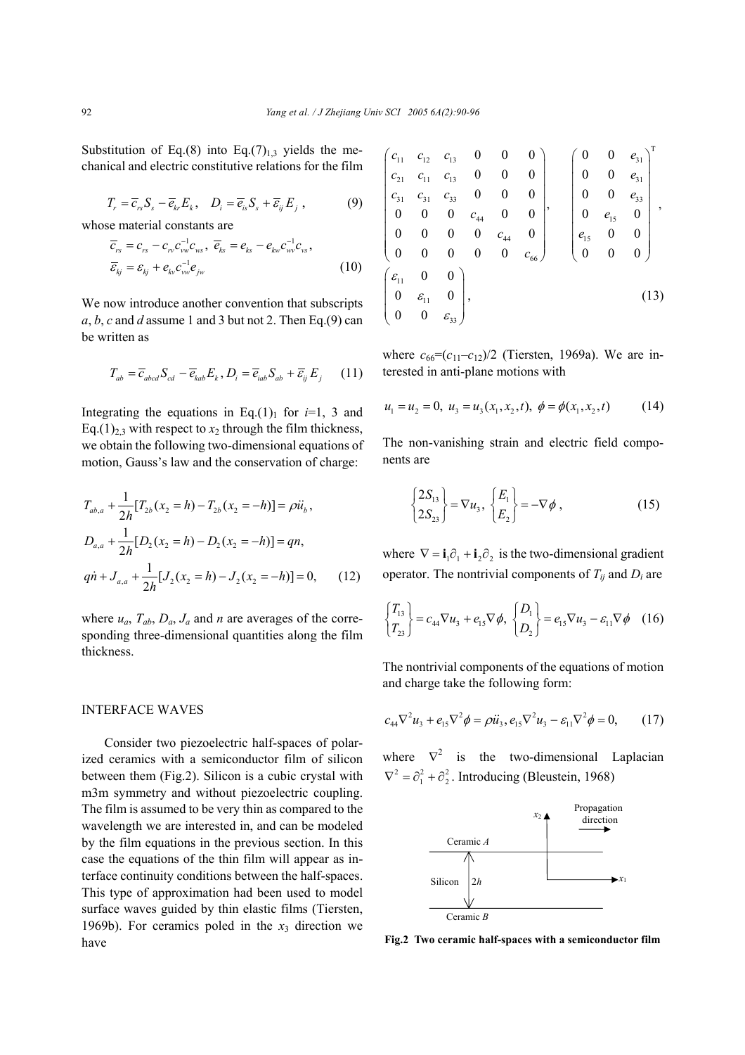Substitution of Eq.(8) into Eq.(7) $_{1,3}$  yields the mechanical and electric constitutive relations for the film

$$
T_r = \overline{c}_{rs} S_s - \overline{e}_{kr} E_k, \quad D_i = \overline{e}_{is} S_s + \overline{e}_{ij} E_j, \tag{9}
$$

whose material constants are

$$
\overline{c}_{rs} = c_{rs} - c_{rs} c_{vw}^{-1} c_{ws}, \overline{e}_{ks} = e_{ks} - e_{kw} c_{wv}^{-1} c_{vs}, \n\overline{\varepsilon}_{kj} = \varepsilon_{kj} + e_{kv} c_{vw}^{-1} e_{jw}
$$
\n(10)

We now introduce another convention that subscripts  $a, b, c$  and *d* assume 1 and 3 but not 2. Then Eq.(9) can be written as

$$
T_{ab} = \overline{c}_{abcd} S_{cd} - \overline{e}_{kab} E_k, D_i = \overline{e}_{iab} S_{ab} + \overline{\varepsilon}_{ij} E_j \qquad (11)
$$

Integrating the equations in Eq.(1)<sub>1</sub> for  $i=1, 3$  and Eq.(1)<sub>2.3</sub> with respect to  $x_2$  through the film thickness, we obtain the following two-dimensional equations of motion, Gauss's law and the conservation of charge:

$$
T_{ab,a} + \frac{1}{2h} [T_{2b}(x_2 = h) - T_{2b}(x_2 = -h)] = \rho \ddot{u}_b,
$$
  
\n
$$
D_{a,a} + \frac{1}{2h} [D_2(x_2 = h) - D_2(x_2 = -h)] = qn,
$$
  
\n
$$
q\dot{n} + J_{a,a} + \frac{1}{2h} [J_2(x_2 = h) - J_2(x_2 = -h)] = 0,
$$
 (12)

where  $u_a$ ,  $T_{ab}$ ,  $D_a$ ,  $J_a$  and *n* are averages of the corresponding three-dimensional quantities along the film thickness.

## INTERFACE WAVES

Consider two piezoelectric half-spaces of polarized ceramics with a semiconductor film of silicon between them (Fig.2). Silicon is a cubic crystal with m3m symmetry and without piezoelectric coupling. The film is assumed to be very thin as compared to the wavelength we are interested in, and can be modeled by the film equations in the previous section. In this case the equations of the thin film will appear as interface continuity conditions between the half-spaces. This type of approximation had been used to model surface waves guided by thin elastic films (Tiersten, 1969b). For ceramics poled in the  $x_3$  direction we have

| $c_{11}$                                    | $c_{12}$           | $c_{13}$           | $\boldsymbol{0}$ |                    |                  |                  | $\boldsymbol{0}$ | $e_{31}$         |                          |
|---------------------------------------------|--------------------|--------------------|------------------|--------------------|------------------|------------------|------------------|------------------|--------------------------|
| $c_{21}$                                    | $c_{11}$           | $c_{13}$           | $\boldsymbol{0}$ | $\boldsymbol{0}$   | 0                | $\boldsymbol{0}$ | $\boldsymbol{0}$ | $e_{31}$         |                          |
| $c_{31}$                                    | $c_{31}$           | $c_{33}$           | $\boldsymbol{0}$ | $\boldsymbol{0}$   | $\boldsymbol{0}$ | $\boldsymbol{0}$ | $\boldsymbol{0}$ | $e_{33}$         |                          |
| $\begin{array}{ c c } \hline 0 \end{array}$ | $\boldsymbol{0}$   | $\boldsymbol{0}$   | $c_{44}$         | $\boldsymbol{0}$   | $\boldsymbol{0}$ | $\boldsymbol{0}$ | $e_{15}$         | 0                | $\overline{\phantom{a}}$ |
| $\vert 0$                                   | $\boldsymbol{0}$   | $\boldsymbol{0}$   | $\boldsymbol{0}$ | $\mathcal{C}_{44}$ | $\boldsymbol{0}$ | $e_{15}$         | $\boldsymbol{0}$ | 0                |                          |
| $\boldsymbol{0}$                            | $\boldsymbol{0}$   | $\boldsymbol{0}$   | $\boldsymbol{0}$ | $\boldsymbol{0}$   | $c_{66}$ )       | $\boldsymbol{0}$ | $\boldsymbol{0}$ | $\boldsymbol{0}$ |                          |
| $\mathcal{E}_{11}$                          | $\boldsymbol{0}$   | $\boldsymbol{0}$   |                  |                    |                  |                  |                  |                  |                          |
| $\begin{bmatrix} 0 \\ 0 \end{bmatrix}$      | $\mathcal{E}_{11}$ | $\boldsymbol{0}$   | Ι,               |                    |                  |                  |                  |                  | (13)                     |
|                                             |                    | $\mathcal{E}_{33}$ |                  |                    |                  |                  |                  |                  |                          |

where  $c_{66} = (c_{11} - c_{12})/2$  (Tiersten, 1969a). We are interested in anti-plane motions with

$$
u_1 = u_2 = 0, \ u_3 = u_3(x_1, x_2, t), \ \phi = \phi(x_1, x_2, t) \tag{14}
$$

The non-vanishing strain and electric field components are

$$
\begin{cases}\n2S_{13} \\
2S_{23}\n\end{cases} = \nabla u_3, \quad\n\begin{cases}\nE_1 \\
E_2\n\end{cases} = -\nabla \phi \tag{15}
$$

where  $\nabla = \mathbf{i}_1 \partial_1 + \mathbf{i}_2 \partial_2$  is the two-dimensional gradient operator. The nontrivial components of  $T_{ij}$  and  $D_i$  are

$$
\begin{Bmatrix} T_{13} \\ T_{23} \end{Bmatrix} = c_{44} \nabla u_3 + e_{15} \nabla \phi, \ \begin{Bmatrix} D_1 \\ D_2 \end{Bmatrix} = e_{15} \nabla u_3 - \varepsilon_{11} \nabla \phi \quad (16)
$$

The nontrivial components of the equations of motion and charge take the following form:

$$
c_{44}\nabla^2 u_3 + e_{15}\nabla^2 \phi = \rho \ddot{u}_3, e_{15}\nabla^2 u_3 - \varepsilon_{11}\nabla^2 \phi = 0, \qquad (17)
$$

where  $\nabla^2$  is the two-dimensional Laplacian  $\nabla^2 = \partial_1^2 + \partial_2^2$ . Introducing (Bleustein, 1968)



**Fig.2 Two ceramic half-spaces with a semiconductor film**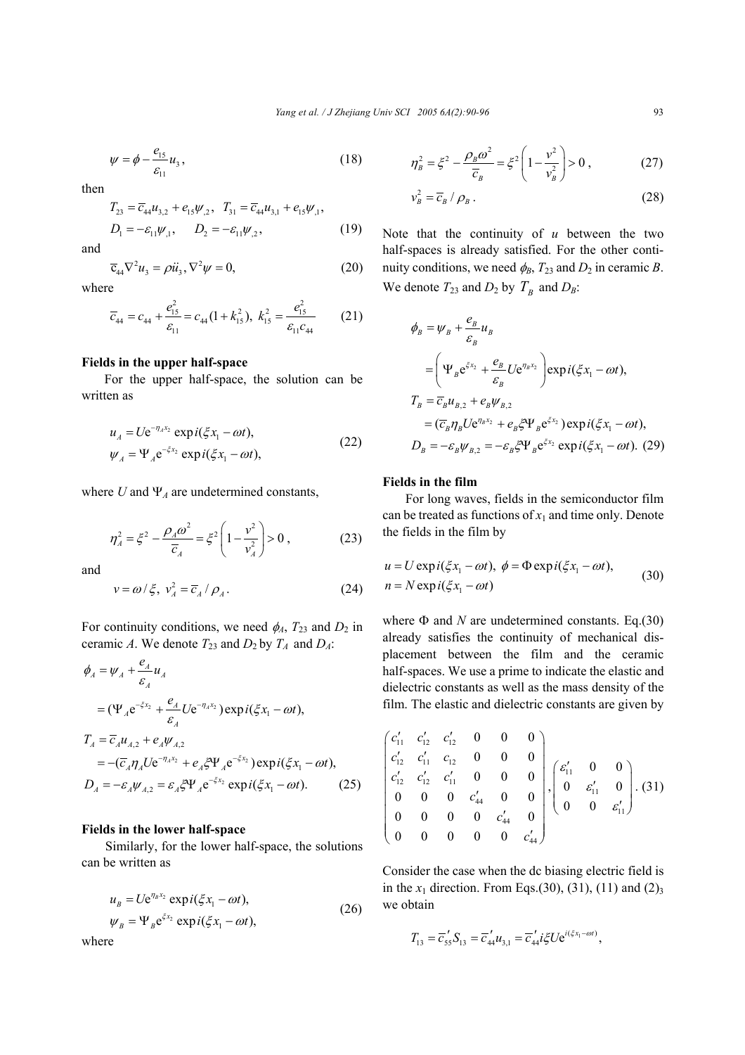$$
\psi = \phi - \frac{e_{15}}{\varepsilon_{11}} u_3, \qquad (18)
$$

then

$$
T_{23} = \overline{c}_{44} u_{3,2} + e_{15} \psi_{,2}, \quad T_{31} = \overline{c}_{44} u_{3,1} + e_{15} \psi_{,1},
$$
  
\n
$$
D_1 = -\varepsilon_{11} \psi_{,1}, \qquad D_2 = -\varepsilon_{11} \psi_{,2}, \tag{19}
$$

and

$$
\overline{c}_{44}\nabla^2 u_3 = \rho \ddot{u}_3, \nabla^2 \psi = 0,\tag{20}
$$

where

$$
\overline{c}_{44} = c_{44} + \frac{e_{15}^2}{\varepsilon_{11}} = c_{44} (1 + k_{15}^2), \ k_{15}^2 = \frac{e_{15}^2}{\varepsilon_{11} c_{44}} \qquad (21)
$$

## **Fields in the upper half-space**

For the upper half-space, the solution can be written as

$$
u_{A} = U e^{-\eta_{A} x_{2}} \exp i(\xi x_{1} - \omega t),
$$
  
\n
$$
\psi_{A} = \Psi_{A} e^{-\xi x_{2}} \exp i(\xi x_{1} - \omega t),
$$
\n(22)

where  $U$  and  $\Psi_A$  are undetermined constants,

$$
\eta_A^2 = \xi^2 - \frac{\rho_A \omega^2}{\overline{c}_A} = \xi^2 \left( 1 - \frac{v^2}{v_A^2} \right) > 0 , \qquad (23)
$$

and

$$
v = \omega / \xi, \ v_A^2 = \overline{c}_A / \rho_A. \tag{24}
$$

For continuity conditions, we need  $\phi_A$ ,  $T_{23}$  and  $D_2$  in ceramic *A*. We denote  $T_{23}$  and  $D_2$  by  $T_A$  and  $D_A$ :

$$
\phi_A = \psi_A + \frac{e_A}{\varepsilon_A} u_A
$$
  
=  $(\Psi_A e^{-\xi x_2} + \frac{e_A}{\varepsilon_A} U e^{-\eta_A x_2}) \exp i(\xi x_1 - \omega t),$   

$$
T_A = \overline{c}_A u_{A,2} + e_A \psi_{A,2}
$$
  
=  $-(\overline{c}_A \eta_A U e^{-\eta_A x_2} + e_A \xi \Psi_A e^{-\xi x_2}) \exp i(\xi x_1 - \omega t),$   

$$
D_A = -\varepsilon_A \psi_{A,2} = \varepsilon_A \xi \Psi_A e^{-\xi x_2} \exp i(\xi x_1 - \omega t).
$$
 (25)

### **Fields in the lower half-space**

Similarly, for the lower half-space, the solutions can be written as

$$
u_B = U e^{\eta_B x_2} \exp i(\xi x_1 - \omega t),
$$
  
\n
$$
\psi_B = \Psi_B e^{\xi x_2} \exp i(\xi x_1 - \omega t),
$$
\n(26)

$$
\psi_B = \Psi_B e^{\xi x_2} \exp i(\xi x_1 - \omega t),
$$

where

$$
\eta_B^2 = \xi^2 - \frac{\rho_B \omega^2}{\overline{c}_B} = \xi^2 \left( 1 - \frac{v^2}{v_B^2} \right) > 0 , \qquad (27)
$$

$$
v_B^2 = \overline{c}_B / \rho_B \,. \tag{28}
$$

Note that the continuity of *u* between the two half-spaces is already satisfied. For the other continuity conditions, we need  $\phi_B$ ,  $T_{23}$  and  $D_2$  in ceramic *B*. We denote  $T_{23}$  and  $D_2$  by  $T_B$  and  $D_B$ :

$$
\phi_B = \psi_B + \frac{e_B}{\varepsilon_B} u_B
$$
  
\n
$$
= \left( \Psi_B e^{\zeta x_2} + \frac{e_B}{\varepsilon_B} U e^{\eta_B x_2} \right) \exp i(\xi x_1 - \omega t),
$$
  
\n
$$
T_B = \overline{c}_B u_{B,2} + e_B \psi_{B,2}
$$
  
\n
$$
= (\overline{c}_B \eta_B U e^{\eta_B x_2} + e_B \xi \Psi_B e^{\xi x_2}) \exp i(\xi x_1 - \omega t),
$$
  
\n
$$
D_B = -\varepsilon_B \psi_{B,2} = -\varepsilon_B \xi \Psi_B e^{\xi x_2} \exp i(\xi x_1 - \omega t). \quad (29)
$$

#### **Fields in the film**

For long waves, fields in the semiconductor film can be treated as functions of  $x_1$  and time only. Denote the fields in the film by

$$
u = U \exp i(\xi x_1 - \omega t), \ \phi = \Phi \exp i(\xi x_1 - \omega t),
$$
  
\n
$$
n = N \exp i(\xi x_1 - \omega t)
$$
\n(30)

where  $\Phi$  and *N* are undetermined constants. Eq.(30) already satisfies the continuity of mechanical displacement between the film and the ceramic half-spaces. We use a prime to indicate the elastic and dielectric constants as well as the mass density of the film. The elastic and dielectric constants are given by

$$
\begin{pmatrix} c'_{11} & c'_{12} & c'_{12} & 0 & 0 & 0 \ c'_{12} & c'_{11} & c_{12} & 0 & 0 & 0 \ c'_{12} & c'_{12} & c'_{11} & 0 & 0 & 0 \ 0 & 0 & 0 & c'_{44} & 0 & 0 \ 0 & 0 & 0 & 0 & c'_{44} & 0 \ 0 & 0 & 0 & 0 & 0 & c'_{44} \end{pmatrix}, \begin{pmatrix} \varepsilon'_{11} & 0 & 0 \\ 0 & \varepsilon'_{11} & 0 \\ 0 & 0 & \varepsilon'_{11} \end{pmatrix}.
$$
 (31)

Consider the case when the dc biasing electric field is in the  $x_1$  direction. From Eqs.(30), (31), (11) and (2)<sub>3</sub> we obtain

$$
T_{13} = \overline{c}_{55} S_{13} = \overline{c}_{44}^{\prime} u_{3,1} = \overline{c}_{44}^{\prime} i \xi U e^{i(\xi x_1 - \omega t)},
$$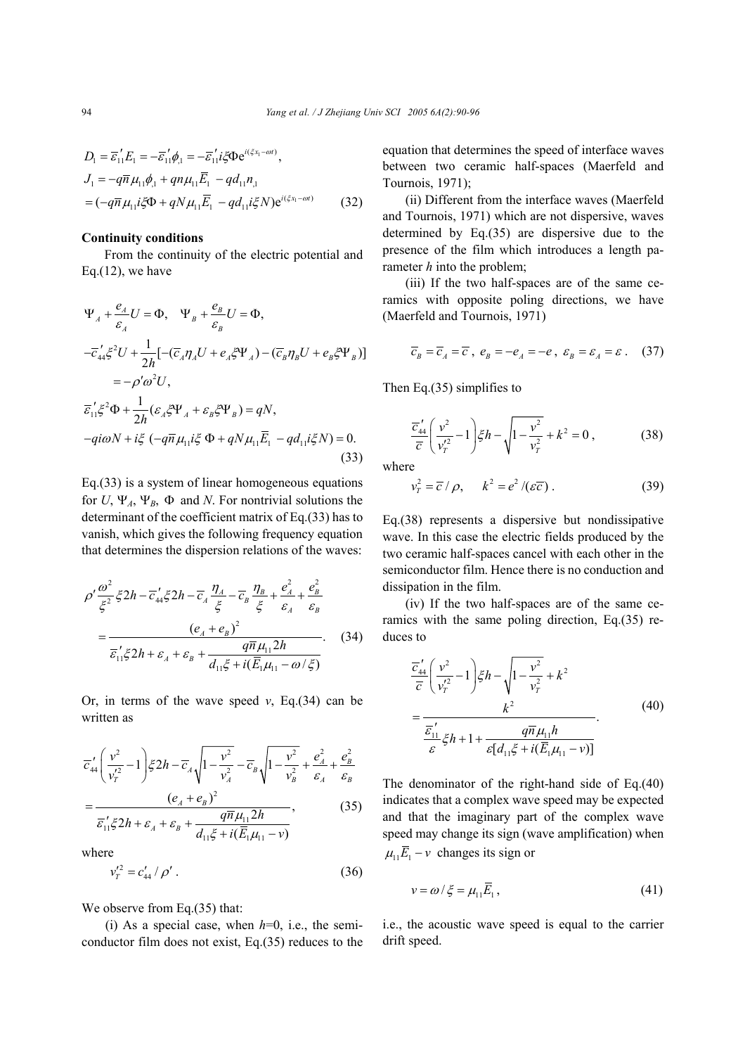$$
D_1 = \overline{\varepsilon}_1 E_1 = -\overline{\varepsilon}_1 \phi_{,1} = -\overline{\varepsilon}_1 i \xi \Phi e^{i(\xi x_1 - \omega t)},
$$
  
\n
$$
J_1 = -q\overline{n} \mu_{11} \phi_{,1} + qn\mu_{11} \overline{E}_1 - qd_{11}n_{,1}
$$
  
\n
$$
= (-q\overline{n} \mu_{11} i\xi \Phi + qN\mu_{11} \overline{E}_1 - qd_{11} i\xi N)e^{i(\xi x_1 - \omega t)}
$$
(32)

#### **Continuity conditions**

From the continuity of the electric potential and Eq. $(12)$ , we have

$$
\Psi_A + \frac{e_A}{\varepsilon_A} U = \Phi, \quad \Psi_B + \frac{e_B}{\varepsilon_B} U = \Phi,
$$
  
\n
$$
-\overline{c}_{44}' \xi^2 U + \frac{1}{2h} [-(\overline{c}_A \eta_A U + e_A \xi \Psi_A) - (\overline{c}_B \eta_B U + e_B \xi \Psi_B)]
$$
  
\n
$$
= -\rho' \omega^2 U,
$$
  
\n
$$
\overline{\varepsilon}_{11}' \xi^2 \Phi + \frac{1}{2h} (\varepsilon_A \xi \Psi_A + \varepsilon_B \xi \Psi_B) = qN,
$$
  
\n
$$
-q i \omega N + i \xi (-q \overline{n} \mu_{11} i \xi \Phi + qN \mu_{11} \overline{E}_1 - q d_{11} i \xi N) = 0.
$$
\n(33)

Eq.(33) is a system of linear homogeneous equations for *U*,  $\Psi_A$ ,  $\Psi_B$ ,  $\Phi$  and *N*. For nontrivial solutions the determinant of the coefficient matrix of Eq.(33) has to vanish, which gives the following frequency equation that determines the dispersion relations of the waves:

$$
\rho' \frac{\omega^2}{\xi^2} \xi 2h - \overline{c}_4' \xi 2h - \overline{c}_A \frac{\eta_A}{\xi} - \overline{c}_B \frac{\eta_B}{\xi} + \frac{e_A^2}{\varepsilon_A} + \frac{e_B^2}{\varepsilon_B}
$$
  
= 
$$
\frac{(e_A + e_B)^2}{\overline{\varepsilon}_1' \xi 2h + \varepsilon_A + \varepsilon_B + \frac{q \overline{n} \mu_{11} 2h}{d_{11} \xi + i(\overline{E}_1 \mu_{11} - \omega/\xi)}
$$
(34)

Or, in terms of the wave speed  $v$ , Eq.(34) can be written as

$$
\overline{c}_{44}' \left( \frac{v^2}{v_T'^2} - 1 \right) \xi 2h - \overline{c}_A \sqrt{1 - \frac{v^2}{v_A^2} - \overline{c}_B \sqrt{1 - \frac{v^2}{v_B^2} + \frac{e_A^2}{\varepsilon_A} + \frac{e_B^2}{\varepsilon_B}}}
$$
\n
$$
= \frac{(e_A + e_B)^2}{\overline{\varepsilon}_{11}' \xi 2h + \varepsilon_A + \varepsilon_B + \frac{q \overline{n} \mu_{11} 2h}{d_{11} \xi + i(\overline{E}_1 \mu_{11} - v)}}
$$
\n(35)

where

$$
v_T^{\prime 2} = c_{44}^{\prime} / \rho^{\prime} \,. \tag{36}
$$

We observe from Eq.(35) that:

(i) As a special case, when *h*=0, i.e., the semiconductor film does not exist, Eq.(35) reduces to the equation that determines the speed of interface waves between two ceramic half-spaces (Maerfeld and Tournois, 1971);

(ii) Different from the interface waves (Maerfeld and Tournois, 1971) which are not dispersive, waves determined by Eq.(35) are dispersive due to the presence of the film which introduces a length parameter *h* into the problem;

(iii) If the two half-spaces are of the same ceramics with opposite poling directions, we have (Maerfeld and Tournois, 1971)

$$
\overline{c}_B = \overline{c}_A = \overline{c} , e_B = -e_A = -e , \varepsilon_B = \varepsilon_A = \varepsilon . \quad (37)
$$

Then Eq.(35) simplifies to

$$
\frac{\overline{c}_{44}'}{\overline{c}} \left( \frac{v^2}{v_T'^2} - 1 \right) \xi h - \sqrt{1 - \frac{v^2}{v_T^2}} + k^2 = 0 , \qquad (38)
$$

where

$$
v_T^2 = \overline{c} / \rho, \qquad k^2 = e^2 / (\varepsilon \overline{c}). \tag{39}
$$

Eq.(38) represents a dispersive but nondissipative wave. In this case the electric fields produced by the two ceramic half-spaces cancel with each other in the semiconductor film. Hence there is no conduction and dissipation in the film.

(iv) If the two half-spaces are of the same ceramics with the same poling direction, Eq.(35) reduces to

$$
\frac{\overline{c}_{44}'}{\overline{c}} \left( \frac{v^2}{v_T'^2} - 1 \right) \xi h - \sqrt{1 - \frac{v^2}{v_T^2}} + k^2
$$
\n
$$
= \frac{k^2}{\frac{\overline{\varepsilon}_{11}'}{\varepsilon} \xi h + 1 + \frac{q \overline{n} \mu_{11} h}{\varepsilon [d_{11} \xi + i(\overline{E}_1 \mu_{11} - v)]}}.
$$
\n(40)

The denominator of the right-hand side of Eq.(40) indicates that a complex wave speed may be expected and that the imaginary part of the complex wave speed may change its sign (wave amplification) when  $\mu_{11} \overline{E}_1 - v$  changes its sign or

$$
v = \omega / \xi = \mu_{11} \overline{E}_1, \qquad (41)
$$

i.e., the acoustic wave speed is equal to the carrier drift speed.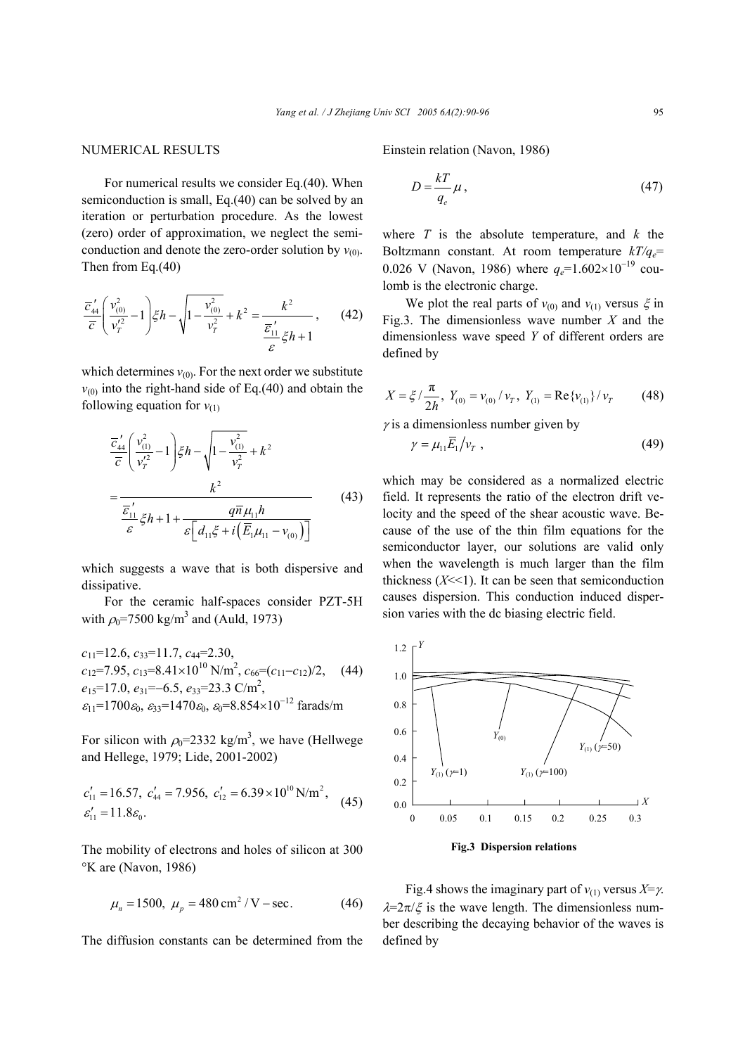## NUMERICAL RESULTS

For numerical results we consider Eq.(40). When semiconduction is small, Eq.(40) can be solved by an iteration or perturbation procedure. As the lowest (zero) order of approximation, we neglect the semiconduction and denote the zero-order solution by  $v_{(0)}$ . Then from Eq.(40)

$$
\frac{\overline{c}'_4}{\overline{c}} \left( \frac{v_{(0)}^2}{v_T'^2} - 1 \right) \xi h - \sqrt{1 - \frac{v_{(0)}^2}{v_T^2}} + k^2 = \frac{k^2}{\frac{\overline{\varepsilon}'_1}{\varepsilon} \xi h + 1}, \qquad (42)
$$

which determines  $v_{(0)}$ . For the next order we substitute  $v_{(0)}$  into the right-hand side of Eq.(40) and obtain the following equation for  $v_{(1)}$ 

$$
\frac{\overline{c}_{44}'}{\overline{c}} \left( \frac{v_{(1)}^2}{v_T'^2} - 1 \right) \xi h - \sqrt{1 - \frac{v_{(1)}^2}{v_T^2}} + k^2
$$
\n
$$
= \frac{k^2}{\frac{\overline{\varepsilon}_{11}'}{\varepsilon} \xi h + 1 + \frac{q \overline{n} \mu_{11} h}{\varepsilon \left[ d_{11} \xi + i \left( \overline{E}_1 \mu_{11} - v_{(0)} \right) \right]}}
$$
\n(43)

which suggests a wave that is both dispersive and dissipative.

For the ceramic half-spaces consider PZT-5H with  $\rho_0$ =7500 kg/m<sup>3</sup> and (Auld, 1973)

$$
c_{11}=12.6, c_{33}=11.7, c_{44}=2.30,
$$
  
\n
$$
c_{12}=7.95, c_{13}=8.41\times10^{10} \text{ N/m}^2, c_{66}=(c_{11}-c_{12})/2,
$$
 (44)  
\n
$$
e_{15}=17.0, e_{31}=-6.5, e_{33}=23.3 \text{ C/m}^2,
$$
  
\n
$$
\varepsilon_{11}=1700 \varepsilon_0, \varepsilon_{33}=1470 \varepsilon_0, \varepsilon_0=8.854\times10^{-12} \text{ farads/m}
$$

For silicon with  $\rho_0 = 2332 \text{ kg/m}^3$ , we have (Hellwege and Hellege, 1979; Lide, 2001-2002)

$$
c'_{11} = 16.57, \ c'_{44} = 7.956, \ c'_{12} = 6.39 \times 10^{10} \text{ N/m}^2, \quad (45)
$$
  

$$
c'_{11} = 11.8 \varepsilon_0.
$$

The mobility of electrons and holes of silicon at 300 °K are (Navon, 1986)

$$
\mu_n = 1500, \ \mu_p = 480 \text{ cm}^2 / \text{V} - \text{sec.}
$$
 (46)

The diffusion constants can be determined from the

Einstein relation (Navon, 1986)

$$
D = \frac{kT}{q_e} \mu \,,\tag{47}
$$

where  $T$  is the absolute temperature, and  $k$  the Boltzmann constant. At room temperature  $kT/q_e$ = 0.026 V (Navon, 1986) where  $q_e$ =1.602×10<sup>-19</sup> coulomb is the electronic charge.

We plot the real parts of  $v_{(0)}$  and  $v_{(1)}$  versus  $\xi$  in Fig.3. The dimensionless wave number *X* and the dimensionless wave speed *Y* of different orders are defined by

$$
X = \xi / \frac{\pi}{2h}, \ Y_{(0)} = v_{(0)} / v_T, \ Y_{(1)} = \text{Re}\{v_{(1)}\} / v_T \tag{48}
$$

 $\gamma$  is a dimensionless number given by

$$
\gamma = \mu_{11} \overline{E}_1 / v_T \tag{49}
$$

which may be considered as a normalized electric field. It represents the ratio of the electron drift velocity and the speed of the shear acoustic wave. Because of the use of the thin film equations for the semiconductor layer, our solutions are valid only when the wavelength is much larger than the film thickness  $(X \le 1)$ . It can be seen that semiconduction causes dispersion. This conduction induced dispersion varies with the dc biasing electric field.



Fig.4 shows the imaginary part of  $v_{(1)}$  versus  $X = \gamma$ .  $\lambda = 2\pi/\xi$  is the wave length. The dimensionless number describing the decaying behavior of the waves is defined by